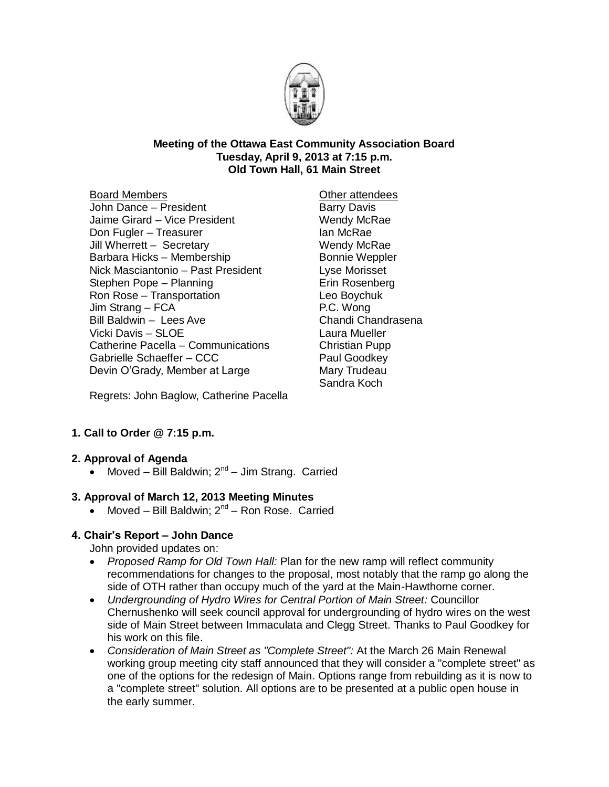

#### **Meeting of the Ottawa East Community Association Board Tuesday, April 9, 2013 at 7:15 p.m. Old Town Hall, 61 Main Street**

#### Board Members

- John Dance President Jaime Girard – Vice President Don Fugler – Treasurer Jill Wherrett – Secretary Barbara Hicks – Membership Nick Masciantonio – Past President Stephen Pope – Planning Ron Rose – Transportation Jim Strang – FCA Bill Baldwin – Lees Ave Vicki Davis – SLOE Catherine Pacella – Communications Gabrielle Schaeffer – CCC Devin O'Grady, Member at Large
- Other attendees Barry Davis Wendy McRae Ian McRae Wendy McRae Bonnie Weppler Lyse Morisset Erin Rosenberg Leo Boychuk P.C. Wong Chandi Chandrasena Laura Mueller Christian Pupp Paul Goodkey Mary Trudeau Sandra Koch

Regrets: John Baglow, Catherine Pacella

## **1. Call to Order @ 7:15 p.m.**

## **2. Approval of Agenda**

• Moved – Bill Baldwin;  $2^{nd}$  – Jim Strang. Carried

## **3. Approval of March 12, 2013 Meeting Minutes**

• Moved - Bill Baldwin; 2<sup>nd</sup> - Ron Rose. Carried

## **4. Chair's Report – John Dance**

John provided updates on:

- *Proposed Ramp for Old Town Hall:* Plan for the new ramp will reflect community recommendations for changes to the proposal, most notably that the ramp go along the side of OTH rather than occupy much of the yard at the Main-Hawthorne corner.
- *Undergrounding of Hydro Wires for Central Portion of Main Street:* Councillor Chernushenko will seek council approval for undergrounding of hydro wires on the west side of Main Street between Immaculata and Clegg Street. Thanks to Paul Goodkey for his work on this file.
- *Consideration of Main Street as "Complete Street":* At the March 26 Main Renewal working group meeting city staff announced that they will consider a "complete street" as one of the options for the redesign of Main. Options range from rebuilding as it is now to a "complete street" solution. All options are to be presented at a public open house in the early summer.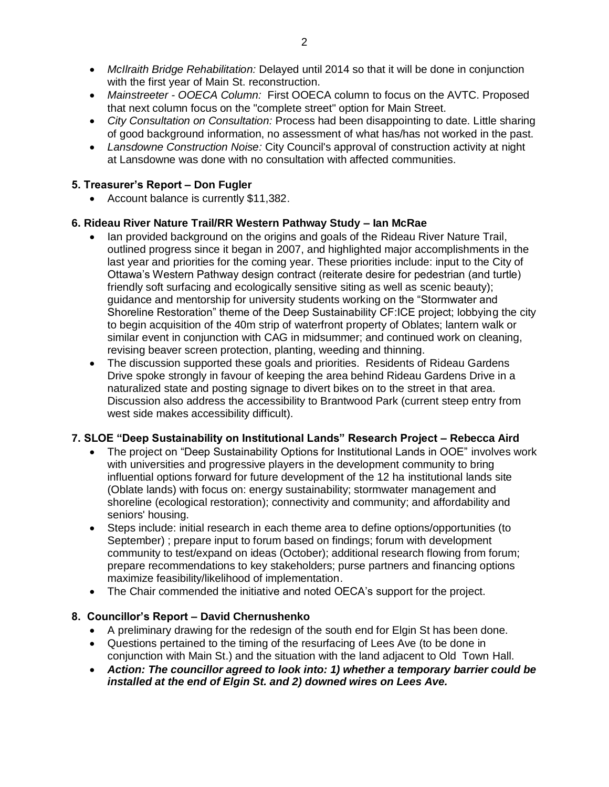- *McIlraith Bridge Rehabilitation:* Delayed until 2014 so that it will be done in conjunction with the first year of Main St. reconstruction.
- *Mainstreeter - OOECA Column:* First OOECA column to focus on the AVTC. Proposed that next column focus on the "complete street" option for Main Street.
- *City Consultation on Consultation:* Process had been disappointing to date. Little sharing of good background information, no assessment of what has/has not worked in the past.
- *Lansdowne Construction Noise:* City Council's approval of construction activity at night at Lansdowne was done with no consultation with affected communities.

## **5. Treasurer's Report – Don Fugler**

Account balance is currently \$11,382.

#### **6. Rideau River Nature Trail/RR Western Pathway Study – Ian McRae**

- Ian provided background on the origins and goals of the Rideau River Nature Trail, outlined progress since it began in 2007, and highlighted major accomplishments in the last year and priorities for the coming year. These priorities include: input to the City of Ottawa's Western Pathway design contract (reiterate desire for pedestrian (and turtle) friendly soft surfacing and ecologically sensitive siting as well as scenic beauty); guidance and mentorship for university students working on the "Stormwater and Shoreline Restoration" theme of the Deep Sustainability CF:ICE project; lobbying the city to begin acquisition of the 40m strip of waterfront property of Oblates; lantern walk or similar event in conjunction with CAG in midsummer; and continued work on cleaning, revising beaver screen protection, planting, weeding and thinning.
- The discussion supported these goals and priorities. Residents of Rideau Gardens Drive spoke strongly in favour of keeping the area behind Rideau Gardens Drive in a naturalized state and posting signage to divert bikes on to the street in that area. Discussion also address the accessibility to Brantwood Park (current steep entry from west side makes accessibility difficult).

## **7. SLOE "Deep Sustainability on Institutional Lands" Research Project – Rebecca Aird**

- The project on "Deep Sustainability Options for Institutional Lands in OOE" involves work with universities and progressive players in the development community to bring influential options forward for future development of the 12 ha institutional lands site (Oblate lands) with focus on: energy sustainability; stormwater management and shoreline (ecological restoration); connectivity and community; and affordability and seniors' housing.
- Steps include: initial research in each theme area to define options/opportunities (to September) ; prepare input to forum based on findings; forum with development community to test/expand on ideas (October); additional research flowing from forum; prepare recommendations to key stakeholders; purse partners and financing options maximize feasibility/likelihood of implementation.
- The Chair commended the initiative and noted OECA's support for the project.

#### **8. Councillor's Report – David Chernushenko**

- A preliminary drawing for the redesign of the south end for Elgin St has been done.
- Questions pertained to the timing of the resurfacing of Lees Ave (to be done in conjunction with Main St.) and the situation with the land adjacent to Old Town Hall.
- *Action: The councillor agreed to look into: 1) whether a temporary barrier could be installed at the end of Elgin St. and 2) downed wires on Lees Ave.*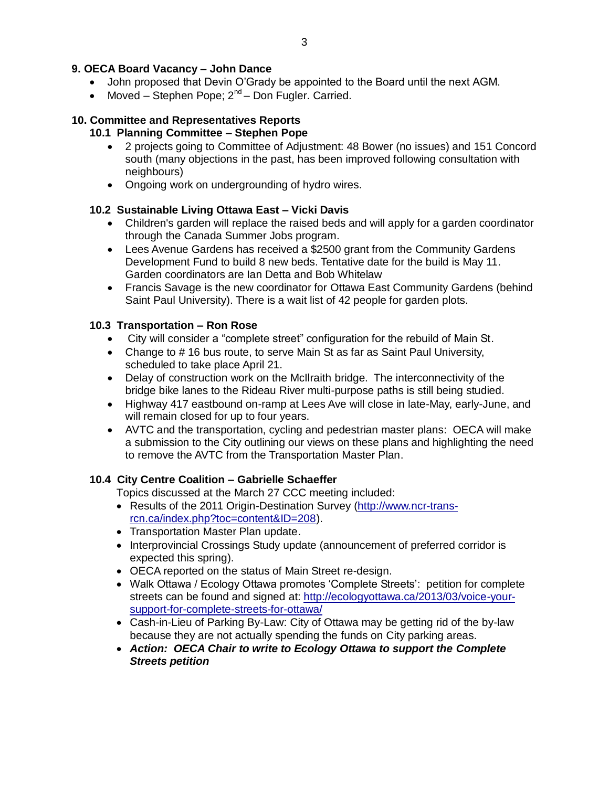### **9. OECA Board Vacancy – John Dance**

- John proposed that Devin O'Grady be appointed to the Board until the next AGM.
- Moved Stephen Pope;  $2^{nd}$  Don Fugler. Carried.

#### **10. Committee and Representatives Reports**

#### **10.1 Planning Committee – Stephen Pope**

- 2 projects going to Committee of Adjustment: 48 Bower (no issues) and 151 Concord south (many objections in the past, has been improved following consultation with neighbours)
- Ongoing work on undergrounding of hydro wires.

#### **10.2 Sustainable Living Ottawa East – Vicki Davis**

- Children's garden will replace the raised beds and will apply for a garden coordinator through the Canada Summer Jobs program.
- Lees Avenue Gardens has received a \$2500 grant from the Community Gardens Development Fund to build 8 new beds. Tentative date for the build is May 11. Garden coordinators are Ian Detta and Bob Whitelaw
- Francis Savage is the new coordinator for Ottawa East Community Gardens (behind Saint Paul University). There is a wait list of 42 people for garden plots.

#### **10.3 Transportation – Ron Rose**

- City will consider a "complete street" configuration for the rebuild of Main St.
- Change to # 16 bus route, to serve Main St as far as Saint Paul University, scheduled to take place April 21.
- Delay of construction work on the McIlraith bridge. The interconnectivity of the bridge bike lanes to the Rideau River multi-purpose paths is still being studied.
- Highway 417 eastbound on-ramp at Lees Ave will close in late-May, early-June, and will remain closed for up to four years.
- AVTC and the transportation, cycling and pedestrian master plans: OECA will make a submission to the City outlining our views on these plans and highlighting the need to remove the AVTC from the Transportation Master Plan.

#### **10.4 City Centre Coalition – Gabrielle Schaeffer**

Topics discussed at the March 27 CCC meeting included:

- Results of the 2011 Origin-Destination Survey [\(http://www.ncr-trans](http://www.ncr-trans-rcn.ca/index.php?toc=content&ID=208)[rcn.ca/index.php?toc=content&ID=208\)](http://www.ncr-trans-rcn.ca/index.php?toc=content&ID=208).
- Transportation Master Plan update.
- Interprovincial Crossings Study update (announcement of preferred corridor is expected this spring).
- OECA reported on the status of Main Street re-design.
- Walk Ottawa / Ecology Ottawa promotes 'Complete Streets': petition for complete streets can be found and signed at: [http://ecologyottawa.ca/2013/03/voice-your](http://ecologyottawa.ca/2013/03/voice-your-support-for-complete-streets-for-ottawa/)[support-for-complete-streets-for-ottawa/](http://ecologyottawa.ca/2013/03/voice-your-support-for-complete-streets-for-ottawa/)
- Cash-in-Lieu of Parking By-Law: City of Ottawa may be getting rid of the by-law because they are not actually spending the funds on City parking areas.
- *Action: OECA Chair to write to Ecology Ottawa to support the Complete Streets petition*